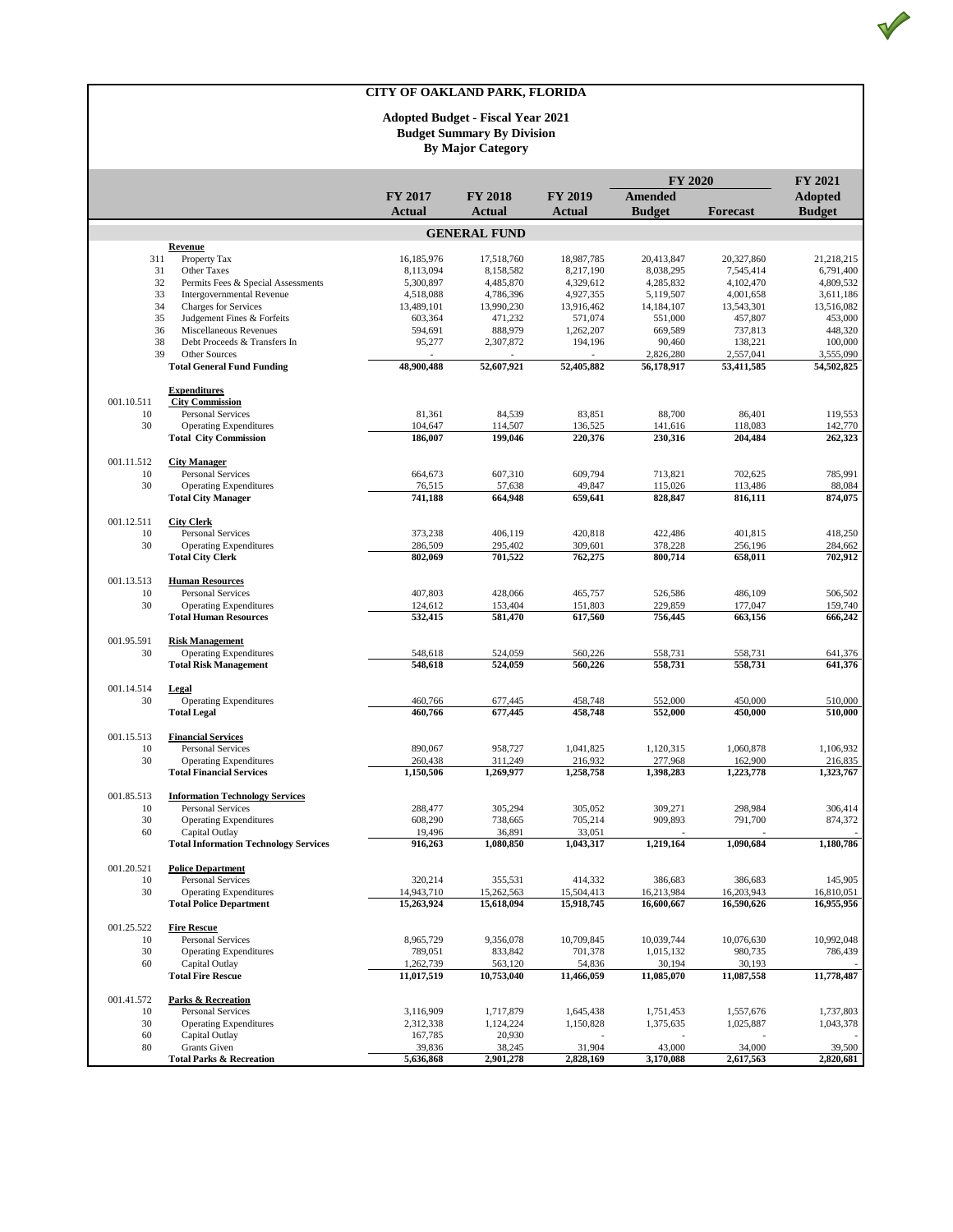V

|                  |                                                                |                         |                         |                         | <b>FY 2020</b>          |                         | <b>FY 2021</b>          |  |
|------------------|----------------------------------------------------------------|-------------------------|-------------------------|-------------------------|-------------------------|-------------------------|-------------------------|--|
|                  |                                                                | <b>FY 2017</b>          | <b>FY 2018</b>          | <b>FY 2019</b>          | <b>Amended</b>          |                         | <b>Adopted</b>          |  |
|                  |                                                                | <b>Actual</b>           | Actual                  | Actual                  | <b>Budget</b>           | <b>Forecast</b>         | <b>Budget</b>           |  |
|                  |                                                                |                         | <b>GENERAL FUND</b>     |                         |                         |                         |                         |  |
|                  | Revenue                                                        |                         |                         |                         |                         |                         |                         |  |
| 311<br>31        | Property Tax<br>Other Taxes                                    | 16,185,976<br>8,113,094 | 17,518,760<br>8.158.582 | 18,987,785<br>8,217,190 | 20,413,847<br>8,038,295 | 20,327,860<br>7.545.414 | 21,218,215<br>6,791,400 |  |
| 32               | Permits Fees & Special Assessments                             | 5,300,897               | 4,485,870               | 4,329,612               | 4,285,832               | 4,102,470               | 4,809,532               |  |
| 33               | <b>Intergovernmental Revenue</b>                               | 4,518,088               | 4,786,396               | 4,927,355               | 5,119,507               | 4,001,658               | 3,611,186               |  |
| 34               | <b>Charges for Services</b>                                    | 13,489,101              | 13,990,230              | 13,916,462              | 14,184,107              | 13,543,301              | 13,516,082              |  |
| 35               | Judgement Fines & Forfeits                                     | 603.364                 | 471,232                 | 571,074                 | 551,000                 | 457,807                 | 453,000                 |  |
| 36               | Miscellaneous Revenues                                         | 594,691                 | 888,979                 | 1,262,207               | 669,589                 | 737,813                 | 448,320                 |  |
| 38               | Debt Proceeds & Transfers In                                   | 95,277                  | 2,307,872               | 194,196                 | 90,460                  | 138,221                 | 100,000                 |  |
| 39               | Other Sources<br><b>Total General Fund Funding</b>             | 48,900,488              | 52,607,921              | 52,405,882              | 2,826,280<br>56,178,917 | 2,557,041<br>53,411,585 | 3,555,090<br>54,502,825 |  |
|                  |                                                                |                         |                         |                         |                         |                         |                         |  |
| 001.10.511       | <b>Expenditures</b><br><b>City Commission</b>                  |                         |                         |                         |                         |                         |                         |  |
| 10               | <b>Personal Services</b>                                       | 81,361                  | 84,539                  | 83,851                  | 88,700                  | 86,401                  | 119,553                 |  |
| 30               | <b>Operating Expenditures</b>                                  | 104,647                 | 114,507                 | 136,525                 | 141,616                 | 118,083                 | 142,770                 |  |
|                  | <b>Total City Commission</b>                                   | 186,007                 | 199,046                 | 220,376                 | 230,316                 | 204,484                 | 262,323                 |  |
| 001.11.512       | <b>City Manager</b>                                            |                         |                         |                         |                         |                         |                         |  |
| 10               | <b>Personal Services</b>                                       | 664,673                 | 607,310                 | 609,794                 | 713,821                 | 702,625                 | 785.991                 |  |
| 30               | <b>Operating Expenditures</b>                                  | 76,515                  | 57,638                  | 49,847                  | 115,026                 | 113,486                 | 88,084                  |  |
|                  | <b>Total City Manager</b>                                      | 741,188                 | 664,948                 | 659,641                 | 828,847                 | 816,111                 | 874,075                 |  |
| 001.12.511       | <b>City Clerk</b>                                              |                         |                         |                         |                         |                         |                         |  |
| 10               | <b>Personal Services</b>                                       | 373,238                 | 406,119                 | 420,818                 | 422,486                 | 401,815                 | 418,250                 |  |
| 30               | <b>Operating Expenditures</b>                                  | 286,509                 | 295,402                 | 309,601                 | 378,228                 | 256,196                 | 284,662                 |  |
|                  | <b>Total City Clerk</b>                                        | 802,069                 | 701,522                 | 762,275                 | 800.714                 | 658,011                 | 702,912                 |  |
| 001.13.513       | <b>Human Resources</b>                                         |                         |                         |                         |                         |                         |                         |  |
| 10               | <b>Personal Services</b>                                       | 407,803                 | 428,066                 | 465,757                 | 526,586                 | 486,109                 | 506,502                 |  |
| 30               | <b>Operating Expenditures</b><br><b>Total Human Resources</b>  | 124,612<br>532,415      | 153,404<br>581,470      | 151,803<br>617,560      | 229,859<br>756,445      | 177,047<br>663,156      | 159,740<br>666,242      |  |
|                  |                                                                |                         |                         |                         |                         |                         |                         |  |
| 001.95.591       | <b>Risk Management</b>                                         |                         |                         |                         |                         |                         |                         |  |
| 30               | <b>Operating Expenditures</b><br><b>Total Risk Management</b>  | 548,618<br>548,618      | 524,059<br>524,059      | 560,226<br>560,226      | 558,731<br>558,731      | 558,731<br>558,731      | 641,376<br>641,376      |  |
|                  |                                                                |                         |                         |                         |                         |                         |                         |  |
| 001.14.514       | Legal                                                          |                         |                         |                         |                         |                         |                         |  |
| 30               | <b>Operating Expenditures</b>                                  | 460,766<br>460,766      | 677,445                 | 458,748<br>458,748      | 552,000<br>552,000      | 450,000<br>450,000      | 510,000<br>510,000      |  |
|                  | <b>Total Legal</b>                                             |                         | 677,445                 |                         |                         |                         |                         |  |
| 001.15.513       | <b>Financial Services</b>                                      |                         |                         |                         |                         |                         |                         |  |
| 10               | <b>Personal Services</b>                                       | 890,067                 | 958,727                 | 1,041,825               | 1,120,315               | 1,060,878               | 1,106,932               |  |
| 30               | <b>Operating Expenditures</b>                                  | 260,438                 | 311,249                 | 216,932                 | 277,968                 | 162,900                 | 216,835                 |  |
|                  | <b>Total Financial Services</b>                                | 1,150,506               | 1,269,977               | 1,258,758               | 1,398,283               | 1,223,778               | 1,323,767               |  |
| 001.85.513       | <b>Information Technology Services</b>                         |                         |                         |                         |                         |                         |                         |  |
| 10               | <b>Personal Services</b>                                       | 288,477                 | 305,294                 | 305,052                 | 309,271                 | 298,984                 | 306,414                 |  |
| 30<br>60         | <b>Operating Expenditures</b>                                  | 608,290<br>19,496       | 738,665                 | 705,214<br>33,051       | 909,893                 | 791,700                 | 874,372                 |  |
|                  | Capital Outlay<br><b>Total Information Technology Services</b> | 916,263                 | 36,891<br>1,080,850     | 1,043,317               | 1,219,164               | 1,090,684               | 1,180,786               |  |
|                  |                                                                |                         |                         |                         |                         |                         |                         |  |
| 001.20.521<br>10 | <b>Police Department</b><br><b>Personal Services</b>           | 320,214                 | 355,531                 | 414,332                 | 386,683                 | 386,683                 | 145,905                 |  |
| 30               | <b>Operating Expenditures</b>                                  | 14,943,710              | 15,262,563              | 15,504,413              | 16,213,984              | 16,203,943              | 16,810,051              |  |
|                  | <b>Total Police Department</b>                                 | 15,263,924              | 15,618,094              | 15,918,745              | 16,600,667              | 16,590,626              | 16,955,956              |  |
| 001.25.522       | <b>Fire Rescue</b>                                             |                         |                         |                         |                         |                         |                         |  |
| 10               | Personal Services                                              | 8,965,729               | 9,356,078               | 10,709,845              | 10,039,744              | 10,076,630              | 10,992,048              |  |
| 30               | <b>Operating Expenditures</b>                                  | 789,051                 | 833,842                 | 701,378                 | 1,015,132               | 980,735                 | 786,439                 |  |
| 60               | Capital Outlay                                                 | 1,262,739               | 563.120                 | 54,836                  | 30,194                  | 30,193                  |                         |  |
|                  | <b>Total Fire Rescue</b>                                       | 11,017,519              | 10,753,040              | 11,466,059              | 11,085,070              | 11,087,558              | 11,778,487              |  |
| 001.41.572       | Parks & Recreation                                             |                         |                         |                         |                         |                         |                         |  |
| 10               | <b>Personal Services</b>                                       | 3,116,909               | 1,717,879               | 1,645,438               | 1,751,453               | 1,557,676               | 1,737,803               |  |
| 30               | <b>Operating Expenditures</b>                                  | 2,312,338               | 1,124,224               | 1,150,828               | 1,375,635               | 1,025,887               | 1,043,378               |  |
| 60<br>80         | Capital Outlay<br><b>Grants</b> Given                          | 167,785                 | 20,930                  |                         |                         |                         | 39,500                  |  |
|                  | <b>Total Parks &amp; Recreation</b>                            | 39,836<br>5,636,868     | 38,245<br>2,901,278     | 31,904<br>2,828,169     | 43,000<br>3,170,088     | 34,000<br>2,617,563     | 2,820,681               |  |
|                  |                                                                |                         |                         |                         |                         |                         |                         |  |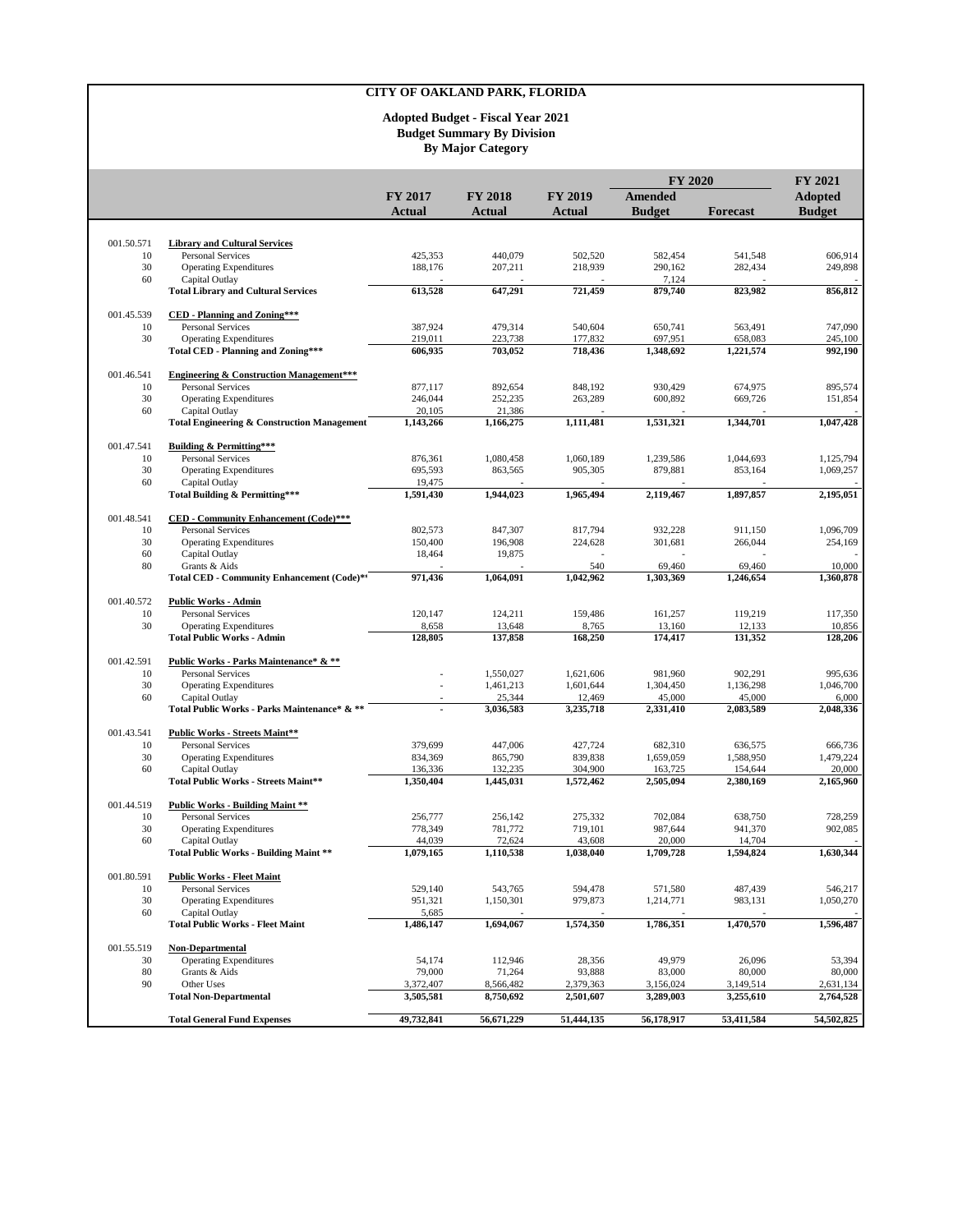|                  |                                                                     |                    | <b>FY 2018</b>      | <b>FY 2019</b>      | <b>FY 2020</b>       |                      | <b>FY 2021</b>     |
|------------------|---------------------------------------------------------------------|--------------------|---------------------|---------------------|----------------------|----------------------|--------------------|
|                  |                                                                     | <b>FY 2017</b>     |                     |                     | <b>Amended</b>       |                      | <b>Adopted</b>     |
|                  |                                                                     | Actual             | <b>Actual</b>       | Actual              | <b>Budget</b>        | <b>Forecast</b>      | <b>Budget</b>      |
|                  |                                                                     |                    |                     |                     |                      |                      |                    |
| 001.50.571       | <b>Library and Cultural Services</b>                                |                    |                     |                     |                      |                      |                    |
| 10<br>30         | <b>Personal Services</b>                                            | 425,353<br>188,176 | 440,079<br>207,211  | 502,520<br>218,939  | 582,454<br>290,162   | 541,548<br>282,434   | 606,914<br>249,898 |
| 60               | <b>Operating Expenditures</b><br>Capital Outlay                     |                    |                     |                     | 7,124                |                      |                    |
|                  | <b>Total Library and Cultural Services</b>                          | 613,528            | 647,291             | 721,459             | 879,740              | 823,982              | 856,812            |
| 001.45.539       | <b>CED</b> - Planning and Zoning***                                 |                    |                     |                     |                      |                      |                    |
| 10               | <b>Personal Services</b>                                            | 387,924            | 479,314             | 540,604             | 650,741              | 563,491              | 747,090            |
| 30               | <b>Operating Expenditures</b><br>Total CED - Planning and Zoning*** | 219,011<br>606,935 | 223,738<br>703,052  | 177,832<br>718,436  | 697,951<br>1,348,692 | 658,083<br>1,221,574 | 245,100<br>992,190 |
|                  |                                                                     |                    |                     |                     |                      |                      |                    |
| 001.46.541       | <b>Engineering &amp; Construction Management***</b>                 |                    |                     |                     |                      |                      |                    |
| 10               | <b>Personal Services</b>                                            | 877,117            | 892,654             | 848,192             | 930,429              | 674,975              | 895.574            |
| 30<br>60         | <b>Operating Expenditures</b><br>Capital Outlay                     | 246,044<br>20,105  | 252,235<br>21,386   | 263,289             | 600,892              | 669,726              | 151,854            |
|                  | <b>Total Engineering &amp; Construction Management</b>              | 1,143,266          | 1,166,275           | 1,111,481           | 1,531,321            | 1,344,701            | 1,047,428          |
| 001.47.541       | <b>Building &amp; Permitting***</b>                                 |                    |                     |                     |                      |                      |                    |
| 10               | <b>Personal Services</b>                                            | 876,361            | 1,080,458           | 1,060,189           | 1,239,586            | 1,044,693            | 1,125,794          |
| 30               | <b>Operating Expenditures</b>                                       | 695,593            | 863,565             | 905,305             | 879,881              | 853,164              | 1,069,257          |
| 60               | Capital Outlay                                                      | 19,475             |                     |                     |                      |                      |                    |
|                  | Total Building & Permitting***                                      | 1,591,430          | 1,944,023           | 1,965,494           | 2,119,467            | 1,897,857            | 2,195,051          |
| 001.48.541       | CED - Community Enhancement (Code)***                               |                    |                     |                     |                      |                      |                    |
| 10               | <b>Personal Services</b>                                            | 802,573            | 847.307             | 817,794             | 932,228              | 911,150              | 1,096,709          |
| 30<br>60         | <b>Operating Expenditures</b><br>Capital Outlay                     | 150,400<br>18,464  | 196,908<br>19,875   | 224,628             | 301,681              | 266,044              | 254,169            |
| 80               | Grants & Aids                                                       |                    |                     | 540                 | 69,460               | 69,460               | 10,000             |
|                  | Total CED - Community Enhancement (Code)**                          | 971,436            | 1,064,091           | 1,042,962           | 1.303.369            | 1.246.654            | 1,360,878          |
| 001.40.572       | <b>Public Works - Admin</b>                                         |                    |                     |                     |                      |                      |                    |
| 10               | <b>Personal Services</b>                                            | 120,147            | 124,211             | 159,486             | 161,257              | 119,219              | 117,350            |
| 30               | <b>Operating Expenditures</b><br><b>Total Public Works - Admin</b>  | 8,658<br>128,805   | 13,648<br>137,858   | 8,765<br>168,250    | 13,160<br>174,417    | 12,133<br>131,352    | 10,856<br>128,206  |
|                  |                                                                     |                    |                     |                     |                      |                      |                    |
| 001.42.591       | Public Works - Parks Maintenance* & **                              |                    |                     |                     |                      |                      |                    |
| 10               | Personal Services                                                   |                    | 1,550,027           | 1,621,606           | 981,960              | 902,291              | 995,636            |
| 30<br>60         | <b>Operating Expenditures</b><br>Capital Outlay                     | $\overline{a}$     | 1,461,213<br>25,344 | 1,601,644<br>12,469 | 1,304,450<br>45,000  | 1,136,298<br>45,000  | 1,046,700<br>6,000 |
|                  | Total Public Works - Parks Maintenance* & **                        |                    | 3,036,583           | 3,235,718           | 2,331,410            | 2,083,589            | 2,048,336          |
| 001.43.541       | Public Works - Streets Maint**                                      |                    |                     |                     |                      |                      |                    |
| 10               | Personal Services                                                   | 379,699            | 447,006             | 427,724             | 682,310              | 636,575              | 666,736            |
| 30               | <b>Operating Expenditures</b>                                       | 834,369            | 865,790             | 839,838             | 1,659,059            | 1,588,950            | 1,479,224          |
| 60               | Capital Outlay                                                      | 136,336            | 132,235             | 304,900             | 163,725              | 154,644              | 20,000             |
|                  | Total Public Works - Streets Maint**                                | 1,350,404          | 1,445,031           | 1,572,462           | 2,505,094            | 2,380,169            | 2,165,960          |
| 001.44.519       | <b>Public Works - Building Maint **</b>                             |                    |                     |                     |                      |                      |                    |
| 10               | <b>Personal Services</b>                                            | 256,777            | 256,142             | 275,332             | 702,084              | 638,750              | 728,259            |
| 30<br>60         | <b>Operating Expenditures</b><br>Capital Outlay                     | 778,349<br>44,039  | 781,772<br>72,624   | 719,101<br>43,608   | 987,644<br>20,000    | 941,370<br>14,704    | 902,085            |
|                  | Total Public Works - Building Maint **                              | 1,079,165          | 1,110,538           | 1,038,040           | 1.709.728            | 1,594,824            | 1,630,344          |
| 001.80.591       | <b>Public Works - Fleet Maint</b>                                   |                    |                     |                     |                      |                      |                    |
| 10               | Personal Services                                                   | 529,140            | 543,765             | 594,478             | 571,580              | 487,439              | 546,217            |
| 30               | <b>Operating Expenditures</b>                                       | 951,321            | 1,150,301           | 979,873             | 1,214,771            | 983,131              | 1,050,270          |
| 60               | Capital Outlay<br><b>Total Public Works - Fleet Maint</b>           | 5,685<br>1,486,147 | 1,694,067           | 1,574,350           | 1,786,351            | 1,470,570            | 1,596,487          |
|                  |                                                                     |                    |                     |                     |                      |                      |                    |
| 001.55.519<br>30 | <b>Non-Departmental</b><br><b>Operating Expenditures</b>            | 54,174             | 112,946             | 28,356              | 49,979               | 26,096               | 53,394             |
| 80               | Grants & Aids                                                       | 79,000             | 71,264              | 93,888              | 83,000               | 80,000               | 80,000             |
| 90               | Other Uses                                                          | 3,372,407          | 8,566,482           | 2,379,363           | 3,156,024            | 3,149,514            | 2,631,134          |
|                  | <b>Total Non-Departmental</b>                                       | 3,505,581          | 8,750,692           | 2,501,607           | 3,289,003            | 3,255,610            | 2,764,528          |
|                  | <b>Total General Fund Expenses</b>                                  | 49,732,841         | 56,671,229          | 51,444,135          | 56,178,917           | 53,411,584           | 54,502,825         |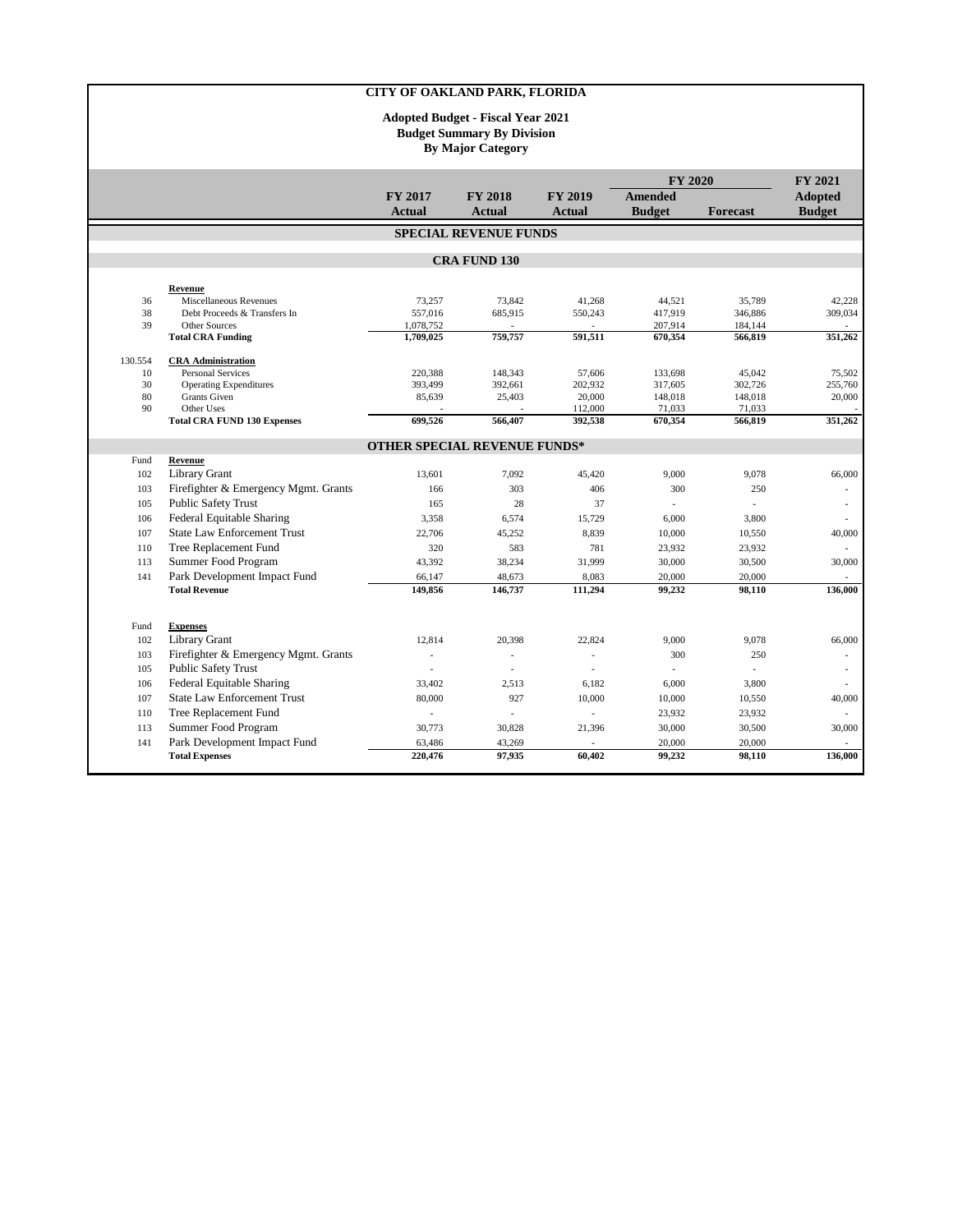|          |                                                        |                                     |                              |                    | <b>FY 2020</b>    |                   | <b>FY 2021</b>    |  |
|----------|--------------------------------------------------------|-------------------------------------|------------------------------|--------------------|-------------------|-------------------|-------------------|--|
|          |                                                        | <b>FY 2017</b>                      | <b>FY 2018</b>               | <b>FY 2019</b>     | Amended           |                   | <b>Adopted</b>    |  |
|          |                                                        | <b>Actual</b>                       | <b>Actual</b>                | <b>Actual</b>      | <b>Budget</b>     | Forecast          | <b>Budget</b>     |  |
|          |                                                        |                                     | <b>SPECIAL REVENUE FUNDS</b> |                    |                   |                   |                   |  |
|          |                                                        |                                     | <b>CRA FUND 130</b>          |                    |                   |                   |                   |  |
|          |                                                        |                                     |                              |                    |                   |                   |                   |  |
|          | Revenue                                                |                                     |                              |                    |                   |                   |                   |  |
| 36<br>38 | Miscellaneous Revenues<br>Debt Proceeds & Transfers In | 73,257<br>557,016                   | 73,842<br>685,915            | 41,268<br>550,243  | 44,521<br>417,919 | 35,789<br>346,886 | 42,228<br>309,034 |  |
| 39       | Other Sources                                          | 1,078,752                           |                              |                    | 207,914           | 184,144           |                   |  |
|          | <b>Total CRA Funding</b>                               | 1,709,025                           | 759,757                      | 591,511            | 670,354           | 566,819           | 351,262           |  |
| 130.554  | <b>CRA</b> Administration                              |                                     |                              |                    |                   |                   |                   |  |
| 10       | <b>Personal Services</b>                               | 220.388                             | 148,343                      | 57.606             | 133,698           | 45,042            | 75,502            |  |
| 30       | <b>Operating Expenditures</b>                          | 393.499                             | 392.661                      | 202,932            | 317,605           | 302,726           | 255,760           |  |
| 80       | <b>Grants</b> Given                                    | 85,639                              | 25,403                       | 20,000             | 148,018           | 148,018           | 20,000            |  |
| 90       | Other Uses<br><b>Total CRA FUND 130 Expenses</b>       | 699,526                             | 566,407                      | 112,000<br>392,538 | 71,033<br>670,354 | 71,033<br>566,819 | 351,262           |  |
|          |                                                        |                                     |                              |                    |                   |                   |                   |  |
| Fund     | Revenue                                                | <b>OTHER SPECIAL REVENUE FUNDS*</b> |                              |                    |                   |                   |                   |  |
| 102      | <b>Library Grant</b>                                   | 13,601                              | 7,092                        | 45,420             | 9,000             | 9.078             | 66,000            |  |
| 103      | Firefighter & Emergency Mgmt. Grants                   | 166                                 | 303                          | 406                | 300               | 250               | ÷.                |  |
| 105      | <b>Public Safety Trust</b>                             | 165                                 | 28                           | 37                 | $\overline{a}$    |                   |                   |  |
| 106      | <b>Federal Equitable Sharing</b>                       | 3,358                               | 6,574                        | 15,729             | 6,000             | 3,800             | $\overline{a}$    |  |
| 107      | <b>State Law Enforcement Trust</b>                     | 22,706                              | 45,252                       | 8,839              | 10,000            | 10,550            | 40,000            |  |
| 110      | Tree Replacement Fund                                  | 320                                 | 583                          | 781                | 23,932            | 23,932            |                   |  |
| 113      | Summer Food Program                                    | 43,392                              | 38,234                       | 31,999             | 30,000            | 30,500            | 30,000            |  |
| 141      | Park Development Impact Fund                           | 66,147                              | 48,673                       | 8,083              | 20,000            | 20,000            |                   |  |
|          | <b>Total Revenue</b>                                   | 149,856                             | 146,737                      | 111,294            | 99,232            | 98,110            | 136,000           |  |
|          |                                                        |                                     |                              |                    |                   |                   |                   |  |
| Fund     | <b>Expenses</b>                                        |                                     |                              |                    |                   |                   |                   |  |
| 102      | Library Grant                                          | 12,814                              | 20,398                       | 22,824             | 9,000             | 9,078             | 66,000            |  |
| 103      | Firefighter & Emergency Mgmt. Grants                   | ÷,                                  | $\overline{\phantom{a}}$     |                    | 300               | 250               |                   |  |
| 105      | <b>Public Safety Trust</b>                             | $\overline{a}$                      | ÷,                           | J.                 | $\overline{a}$    |                   | ٠                 |  |
| 106      | <b>Federal Equitable Sharing</b>                       | 33,402                              | 2,513                        | 6,182              | 6,000             | 3,800             | $\overline{a}$    |  |
| 107      | <b>State Law Enforcement Trust</b>                     | 80,000                              | 927                          | 10,000             | 10,000            | 10,550            | 40,000            |  |
| 110      | Tree Replacement Fund                                  | $\overline{\phantom{a}}$            | ٠                            | ٠                  | 23,932            | 23,932            | ٠                 |  |
| 113      | Summer Food Program                                    | 30.773                              | 30,828                       | 21,396             | 30,000            | 30,500            | 30,000            |  |
| 141      | Park Development Impact Fund                           | 63,486                              | 43,269                       |                    | 20,000            | 20,000            |                   |  |
|          | <b>Total Expenses</b>                                  | 220,476                             | 97,935                       | 60.402             | 99,232            | 98,110            | 136,000           |  |
|          |                                                        |                                     |                              |                    |                   |                   |                   |  |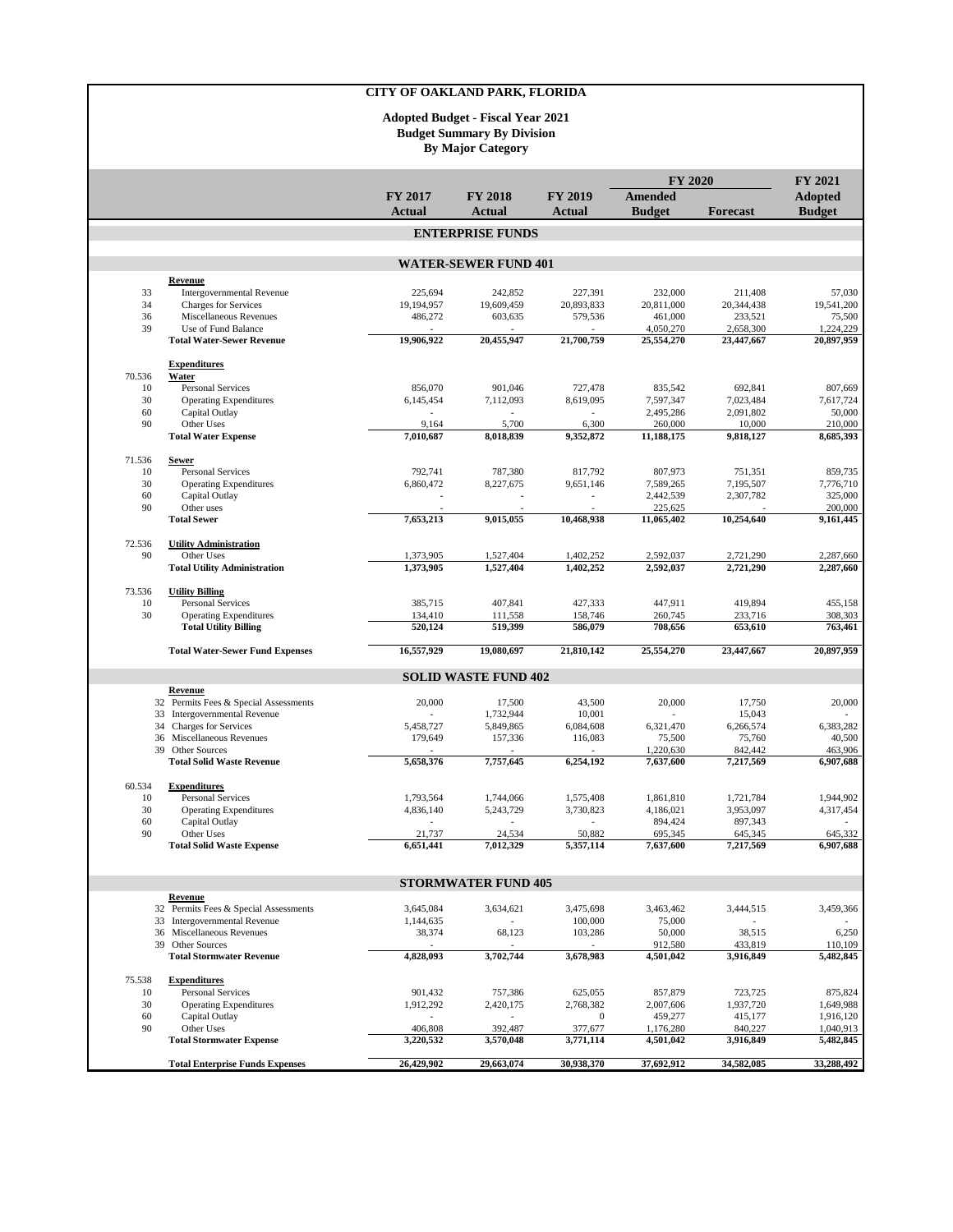|          |                                                               |                          | <b>By Major Category</b>    |                                            |                        |                         |                         |
|----------|---------------------------------------------------------------|--------------------------|-----------------------------|--------------------------------------------|------------------------|-------------------------|-------------------------|
|          |                                                               |                          |                             |                                            | <b>FY 2020</b>         |                         | <b>FY 2021</b>          |
|          |                                                               | FY 2017                  | <b>FY 2018</b>              | FY 2019                                    | <b>Amended</b>         |                         | <b>Adopted</b>          |
|          |                                                               | <b>Actual</b>            | Actual                      | Actual                                     | <b>Budget</b>          | <b>Forecast</b>         | <b>Budget</b>           |
|          |                                                               |                          | <b>ENTERPRISE FUNDS</b>     |                                            |                        |                         |                         |
|          |                                                               |                          |                             |                                            |                        |                         |                         |
|          | <b>Revenue</b>                                                |                          | <b>WATER-SEWER FUND 401</b> |                                            |                        |                         |                         |
| 33       | <b>Intergovernmental Revenue</b>                              | 225,694                  | 242,852                     | 227,391                                    | 232,000                | 211,408                 | 57,030                  |
| 34       | <b>Charges for Services</b>                                   | 19,194,957               | 19,609,459                  | 20,893,833                                 | 20,811,000             | 20,344,438              | 19,541,200              |
| 36       | Miscellaneous Revenues                                        | 486,272                  | 603,635                     | 579,536                                    | 461,000<br>4,050,270   | 233,521                 | 75,500                  |
| 39       | Use of Fund Balance<br><b>Total Water-Sewer Revenue</b>       | 19,906,922               | 20,455,947                  | 21,700,759                                 | 25,554,270             | 2,658,300<br>23,447,667 | 1,224,229<br>20.897.959 |
|          | <b>Expenditures</b>                                           |                          |                             |                                            |                        |                         |                         |
| 70.536   | Water                                                         |                          |                             |                                            |                        |                         |                         |
| 10       | <b>Personal Services</b>                                      | 856,070                  | 901,046                     | 727,478                                    | 835,542                | 692,841                 | 807,669                 |
| 30<br>60 | <b>Operating Expenditures</b><br>Capital Outlay               | 6,145,454                | 7,112,093                   | 8,619,095                                  | 7,597,347<br>2,495,286 | 7,023,484<br>2,091,802  | 7,617,724<br>50,000     |
| 90       | Other Uses                                                    | 9,164                    | 5,700                       | 6,300                                      | 260,000                | 10,000                  | 210,000                 |
|          | <b>Total Water Expense</b>                                    | 7,010,687                | 8,018,839                   | 9,352,872                                  | 11,188,175             | 9,818,127               | 8,685,393               |
| 71.536   | <b>Sewer</b>                                                  |                          |                             |                                            |                        |                         |                         |
| 10       | <b>Personal Services</b>                                      | 792,741                  | 787,380                     | 817,792                                    | 807,973                | 751,351                 | 859,735                 |
| 30       | <b>Operating Expenditures</b>                                 | 6,860,472                | 8,227,675                   | 9,651,146                                  | 7,589,265              | 7,195,507               | 7,776,710               |
| 60<br>90 | Capital Outlay<br>Other uses                                  |                          |                             | $\overline{a}$<br>$\overline{\phantom{a}}$ | 2,442,539<br>225,625   | 2,307,782               | 325,000<br>200,000      |
|          | <b>Total Sewer</b>                                            | 7,653,213                | 9,015,055                   | 10,468,938                                 | 11,065,402             | 10,254,640              | 9,161,445               |
| 72.536   | <b>Utility Administration</b>                                 |                          |                             |                                            |                        |                         |                         |
| 90       | Other Uses                                                    | 1,373,905                | 1,527,404                   | 1,402,252                                  | 2,592,037              | 2,721,290               | 2,287,660               |
|          | <b>Total Utility Administration</b>                           | 1,373,905                | 1,527,404                   | 1,402,252                                  | 2,592,037              | 2,721,290               | 2,287,660               |
| 73.536   | <b>Utility Billing</b>                                        |                          |                             |                                            |                        |                         |                         |
| 10       | Personal Services                                             | 385,715                  | 407,841                     | 427,333                                    | 447,911                | 419,894                 | 455,158                 |
| 30       | <b>Operating Expenditures</b><br><b>Total Utility Billing</b> | 134,410<br>520,124       | 111,558<br>519,399          | 158,746<br>586,079                         | 260,745<br>708,656     | 233,716<br>653,610      | 308,303<br>763,461      |
|          | <b>Total Water-Sewer Fund Expenses</b>                        | 16,557,929               | 19,080,697                  | 21,810,142                                 | 25,554,270             | 23,447,667              | 20,897,959              |
|          |                                                               |                          | <b>SOLID WASTE FUND 402</b> |                                            |                        |                         |                         |
|          | Revenue                                                       |                          |                             |                                            |                        |                         |                         |
|          | 32 Permits Fees & Special Assessments                         | 20,000                   | 17,500                      | 43,500                                     | 20,000                 | 17,750                  | 20,000                  |
|          | 33 Intergovernmental Revenue<br>34 Charges for Services       | 5,458,727                | 1,732,944<br>5,849,865      | 10,001<br>6,084,608                        | 6,321,470              | 15,043<br>6,266,574     | 6,383,282               |
|          | 36 Miscellaneous Revenues                                     | 179,649                  | 157,336                     | 116,083                                    | 75,500                 | 75,760                  | 40,500                  |
|          | 39 Other Sources                                              |                          |                             |                                            | 1,220,630              | 842,442                 | 463,906                 |
|          | <b>Total Solid Waste Revenue</b>                              | 5,658,376                | 7,757,645                   | 6,254,192                                  | 7,637,600              | 7,217,569               | 6,907,688               |
| 60.534   | <b>Expenditures</b>                                           |                          |                             |                                            |                        |                         |                         |
| 10<br>30 | <b>Personal Services</b><br><b>Operating Expenditures</b>     | 1,793,564<br>4,836,140   | 1,744,066<br>5,243,729      | 1,575,408<br>3,730,823                     | 1,861,810<br>4,186,021 | 1,721,784<br>3,953,097  | 1,944,902<br>4,317,454  |
| 60       | Capital Outlay                                                |                          |                             |                                            | 894,424                | 897,343                 |                         |
| 90       | Other Uses                                                    | 21,737                   | 24,534                      | 50,882                                     | 695,345                | 645,345                 | 645,332                 |
|          | <b>Total Solid Waste Expense</b>                              | 6,651,441                | 7,012,329                   | 5,357,114                                  | 7,637,600              | 7,217,569               | 6,907,688               |
|          |                                                               |                          | <b>STORMWATER FUND 405</b>  |                                            |                        |                         |                         |
|          | Revenue                                                       |                          |                             |                                            |                        |                         |                         |
|          | 32 Permits Fees & Special Assessments                         | 3,645,084                | 3,634,621                   | 3,475,698                                  | 3,463,462              | 3,444,515               | 3,459,366               |
|          | 33 Intergovernmental Revenue<br>36 Miscellaneous Revenues     | 1,144,635<br>38,374      | 68,123                      | 100,000<br>103,286                         | 75,000<br>50,000       | 38,515                  | 6,250                   |
|          | 39 Other Sources                                              |                          |                             |                                            | 912,580                | 433,819                 | 110,109                 |
|          | <b>Total Stormwater Revenue</b>                               | 4,828,093                | 3,702,744                   | 3,678,983                                  | 4,501,042              | 3,916,849               | 5,482,845               |
| 75.538   | <b>Expenditures</b>                                           |                          |                             |                                            |                        |                         |                         |
| 10<br>30 | <b>Personal Services</b><br><b>Operating Expenditures</b>     | 901,432<br>1,912,292     | 757,386<br>2,420,175        | 625,055<br>2,768,382                       | 857,879<br>2,007,606   | 723,725<br>1,937,720    | 875,824<br>1,649,988    |
| 60       | Capital Outlay                                                | $\overline{\phantom{a}}$ | $\overline{\phantom{a}}$    | $\boldsymbol{0}$                           | 459,277                | 415,177                 | 1,916,120               |
| 90       | Other Uses                                                    | 406,808                  | 392,487                     | 377,677                                    | 1,176,280              | 840,227                 | 1,040,913               |
|          | <b>Total Stormwater Expense</b>                               | 3,220,532                | 3,570,048                   | 3,771,114                                  | 4,501,042              | 3,916,849               | 5,482,845               |
|          | <b>Total Enterprise Funds Expenses</b>                        | 26,429,902               | 29,663,074                  | 30,938,370                                 | 37,692,912             | 34,582,085              | 33,288,492              |